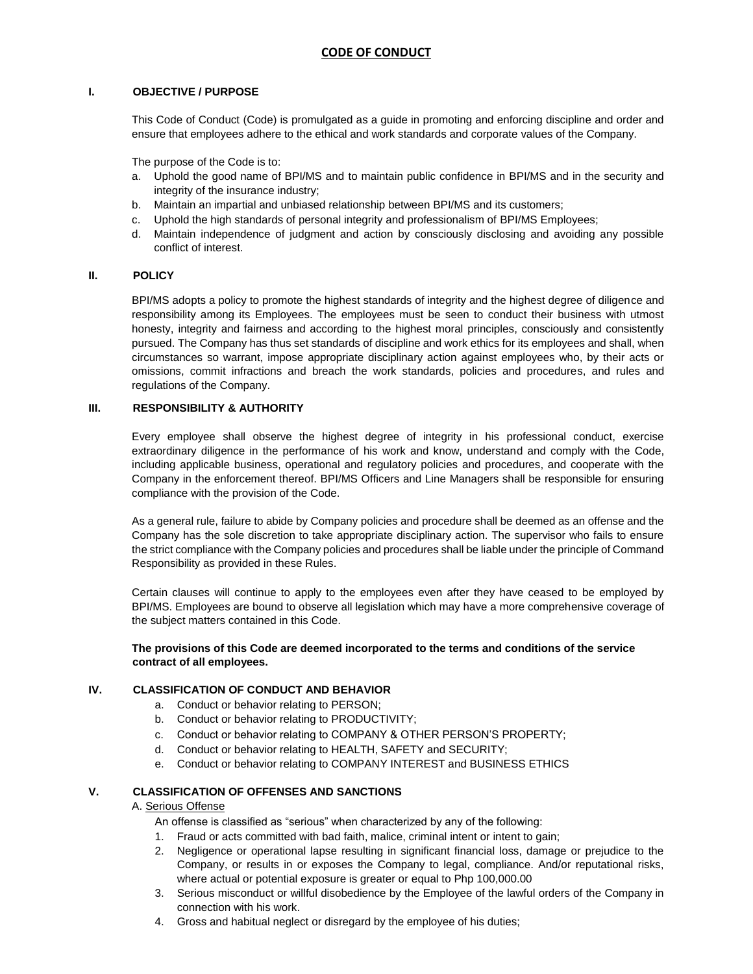## **I. OBJECTIVE / PURPOSE**

This Code of Conduct (Code) is promulgated as a guide in promoting and enforcing discipline and order and ensure that employees adhere to the ethical and work standards and corporate values of the Company.

The purpose of the Code is to:

- a. Uphold the good name of BPI/MS and to maintain public confidence in BPI/MS and in the security and integrity of the insurance industry;
- b. Maintain an impartial and unbiased relationship between BPI/MS and its customers;
- c. Uphold the high standards of personal integrity and professionalism of BPI/MS Employees;
- d. Maintain independence of judgment and action by consciously disclosing and avoiding any possible conflict of interest.

## **II. POLICY**

BPI/MS adopts a policy to promote the highest standards of integrity and the highest degree of diligence and responsibility among its Employees. The employees must be seen to conduct their business with utmost honesty, integrity and fairness and according to the highest moral principles, consciously and consistently pursued. The Company has thus set standards of discipline and work ethics for its employees and shall, when circumstances so warrant, impose appropriate disciplinary action against employees who, by their acts or omissions, commit infractions and breach the work standards, policies and procedures, and rules and regulations of the Company.

## **III. RESPONSIBILITY & AUTHORITY**

Every employee shall observe the highest degree of integrity in his professional conduct, exercise extraordinary diligence in the performance of his work and know, understand and comply with the Code, including applicable business, operational and regulatory policies and procedures, and cooperate with the Company in the enforcement thereof. BPI/MS Officers and Line Managers shall be responsible for ensuring compliance with the provision of the Code.

As a general rule, failure to abide by Company policies and procedure shall be deemed as an offense and the Company has the sole discretion to take appropriate disciplinary action. The supervisor who fails to ensure the strict compliance with the Company policies and procedures shall be liable under the principle of Command Responsibility as provided in these Rules.

Certain clauses will continue to apply to the employees even after they have ceased to be employed by BPI/MS. Employees are bound to observe all legislation which may have a more comprehensive coverage of the subject matters contained in this Code.

## **The provisions of this Code are deemed incorporated to the terms and conditions of the service contract of all employees.**

## **IV. CLASSIFICATION OF CONDUCT AND BEHAVIOR**

- a. Conduct or behavior relating to PERSON;
- b. Conduct or behavior relating to PRODUCTIVITY;
- c. Conduct or behavior relating to COMPANY & OTHER PERSON'S PROPERTY;
- d. Conduct or behavior relating to HEALTH, SAFETY and SECURITY;
- e. Conduct or behavior relating to COMPANY INTEREST and BUSINESS ETHICS

### **V. CLASSIFICATION OF OFFENSES AND SANCTIONS**

### A. Serious Offense

An offense is classified as "serious" when characterized by any of the following:

- 1. Fraud or acts committed with bad faith, malice, criminal intent or intent to gain;
- 2. Negligence or operational lapse resulting in significant financial loss, damage or prejudice to the Company, or results in or exposes the Company to legal, compliance. And/or reputational risks, where actual or potential exposure is greater or equal to Php 100,000.00
- 3. Serious misconduct or willful disobedience by the Employee of the lawful orders of the Company in connection with his work.
- 4. Gross and habitual neglect or disregard by the employee of his duties;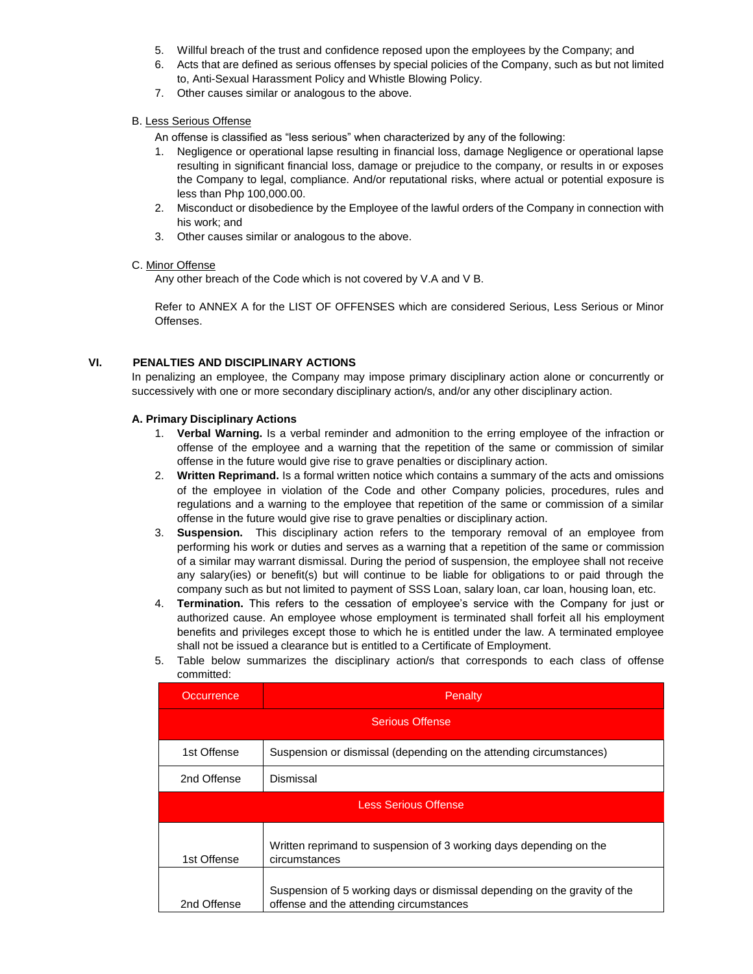- 5. Willful breach of the trust and confidence reposed upon the employees by the Company; and
- 6. Acts that are defined as serious offenses by special policies of the Company, such as but not limited to, Anti-Sexual Harassment Policy and Whistle Blowing Policy.
- 7. Other causes similar or analogous to the above.

# B. Less Serious Offense

- An offense is classified as "less serious" when characterized by any of the following:
- 1. Negligence or operational lapse resulting in financial loss, damage Negligence or operational lapse resulting in significant financial loss, damage or prejudice to the company, or results in or exposes the Company to legal, compliance. And/or reputational risks, where actual or potential exposure is less than Php 100,000.00.
- 2. Misconduct or disobedience by the Employee of the lawful orders of the Company in connection with his work; and
- 3. Other causes similar or analogous to the above.

#### C. Minor Offense

Any other breach of the Code which is not covered by V.A and V B.

Refer to ANNEX A for the LIST OF OFFENSES which are considered Serious, Less Serious or Minor Offenses.

## **VI. PENALTIES AND DISCIPLINARY ACTIONS**

In penalizing an employee, the Company may impose primary disciplinary action alone or concurrently or successively with one or more secondary disciplinary action/s, and/or any other disciplinary action.

#### **A. Primary Disciplinary Actions**

- 1. **Verbal Warning.** Is a verbal reminder and admonition to the erring employee of the infraction or offense of the employee and a warning that the repetition of the same or commission of similar offense in the future would give rise to grave penalties or disciplinary action.
- 2. **Written Reprimand.** Is a formal written notice which contains a summary of the acts and omissions of the employee in violation of the Code and other Company policies, procedures, rules and regulations and a warning to the employee that repetition of the same or commission of a similar offense in the future would give rise to grave penalties or disciplinary action.
- 3. **Suspension.** This disciplinary action refers to the temporary removal of an employee from performing his work or duties and serves as a warning that a repetition of the same or commission of a similar may warrant dismissal. During the period of suspension, the employee shall not receive any salary(ies) or benefit(s) but will continue to be liable for obligations to or paid through the company such as but not limited to payment of SSS Loan, salary loan, car loan, housing loan, etc.
- 4. **Termination.** This refers to the cessation of employee's service with the Company for just or authorized cause. An employee whose employment is terminated shall forfeit all his employment benefits and privileges except those to which he is entitled under the law. A terminated employee shall not be issued a clearance but is entitled to a Certificate of Employment.
- 5. Table below summarizes the disciplinary action/s that corresponds to each class of offense committed:

| Occurrence                  | Penalty                                                                                                              |  |  |  |
|-----------------------------|----------------------------------------------------------------------------------------------------------------------|--|--|--|
| <b>Serious Offense</b>      |                                                                                                                      |  |  |  |
| 1st Offense                 | Suspension or dismissal (depending on the attending circumstances)                                                   |  |  |  |
| 2nd Offense                 | Dismissal                                                                                                            |  |  |  |
| <b>Less Serious Offense</b> |                                                                                                                      |  |  |  |
| 1st Offense                 | Written reprimand to suspension of 3 working days depending on the<br>circumstances                                  |  |  |  |
| 2nd Offense                 | Suspension of 5 working days or dismissal depending on the gravity of the<br>offense and the attending circumstances |  |  |  |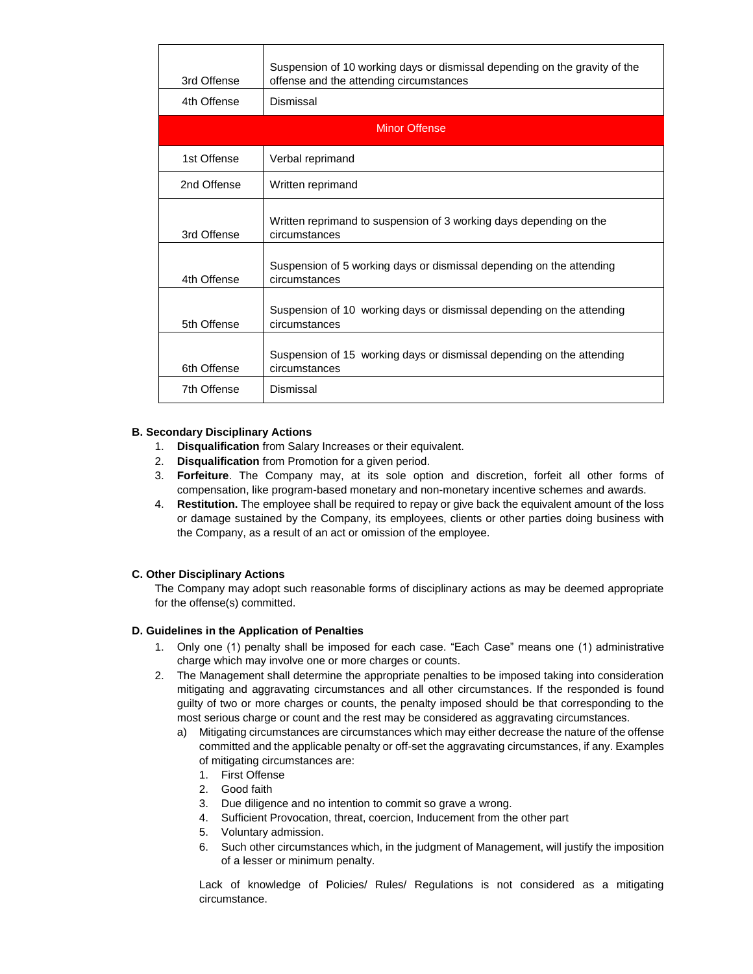| 3rd Offense          | Suspension of 10 working days or dismissal depending on the gravity of the<br>offense and the attending circumstances |  |  |  |
|----------------------|-----------------------------------------------------------------------------------------------------------------------|--|--|--|
| 4th Offense          | Dismissal                                                                                                             |  |  |  |
| <b>Minor Offense</b> |                                                                                                                       |  |  |  |
| 1st Offense          | Verbal reprimand                                                                                                      |  |  |  |
| 2nd Offense          | Written reprimand                                                                                                     |  |  |  |
| 3rd Offense          | Written reprimand to suspension of 3 working days depending on the<br>circumstances                                   |  |  |  |
| 4th Offense          | Suspension of 5 working days or dismissal depending on the attending<br>circumstances                                 |  |  |  |
| 5th Offense          | Suspension of 10 working days or dismissal depending on the attending<br>circumstances                                |  |  |  |
| 6th Offense          | Suspension of 15 working days or dismissal depending on the attending<br>circumstances                                |  |  |  |
| 7th Offense          | Dismissal                                                                                                             |  |  |  |

## **B. Secondary Disciplinary Actions**

- 1. **Disqualification** from Salary Increases or their equivalent.
- 2. **Disqualification** from Promotion for a given period.
- 3. **Forfeiture**. The Company may, at its sole option and discretion, forfeit all other forms of compensation, like program-based monetary and non-monetary incentive schemes and awards.
- 4. **Restitution.** The employee shall be required to repay or give back the equivalent amount of the loss or damage sustained by the Company, its employees, clients or other parties doing business with the Company, as a result of an act or omission of the employee.

## **C. Other Disciplinary Actions**

The Company may adopt such reasonable forms of disciplinary actions as may be deemed appropriate for the offense(s) committed.

### **D. Guidelines in the Application of Penalties**

- 1. Only one (1) penalty shall be imposed for each case. "Each Case" means one (1) administrative charge which may involve one or more charges or counts.
- 2. The Management shall determine the appropriate penalties to be imposed taking into consideration mitigating and aggravating circumstances and all other circumstances. If the responded is found guilty of two or more charges or counts, the penalty imposed should be that corresponding to the most serious charge or count and the rest may be considered as aggravating circumstances.
	- a) Mitigating circumstances are circumstances which may either decrease the nature of the offense committed and the applicable penalty or off-set the aggravating circumstances, if any. Examples of mitigating circumstances are:
		- 1. First Offense
		- 2. Good faith
		- 3. Due diligence and no intention to commit so grave a wrong.
		- 4. Sufficient Provocation, threat, coercion, Inducement from the other part
		- 5. Voluntary admission.
		- 6. Such other circumstances which, in the judgment of Management, will justify the imposition of a lesser or minimum penalty.

Lack of knowledge of Policies/ Rules/ Regulations is not considered as a mitigating circumstance.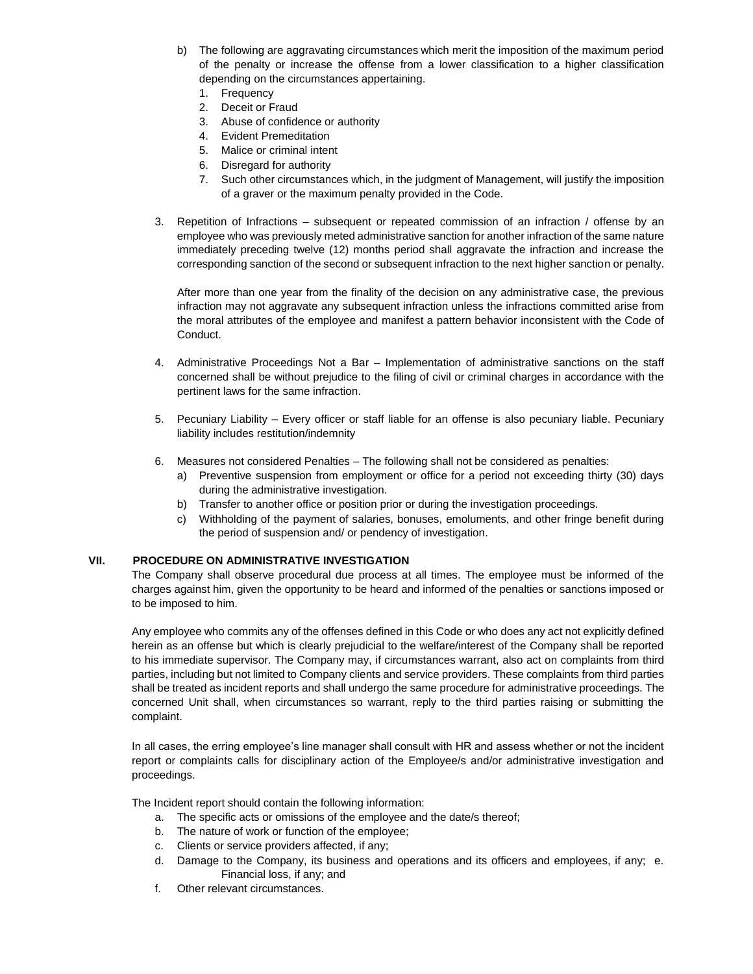- b) The following are aggravating circumstances which merit the imposition of the maximum period of the penalty or increase the offense from a lower classification to a higher classification depending on the circumstances appertaining.
	- 1. Frequency
	- 2. Deceit or Fraud
	- 3. Abuse of confidence or authority
	- 4. Evident Premeditation
	- 5. Malice or criminal intent
	- 6. Disregard for authority
	- 7. Such other circumstances which, in the judgment of Management, will justify the imposition of a graver or the maximum penalty provided in the Code.
- 3. Repetition of Infractions subsequent or repeated commission of an infraction / offense by an employee who was previously meted administrative sanction for another infraction of the same nature immediately preceding twelve (12) months period shall aggravate the infraction and increase the corresponding sanction of the second or subsequent infraction to the next higher sanction or penalty.

After more than one year from the finality of the decision on any administrative case, the previous infraction may not aggravate any subsequent infraction unless the infractions committed arise from the moral attributes of the employee and manifest a pattern behavior inconsistent with the Code of Conduct.

- 4. Administrative Proceedings Not a Bar Implementation of administrative sanctions on the staff concerned shall be without prejudice to the filing of civil or criminal charges in accordance with the pertinent laws for the same infraction.
- 5. Pecuniary Liability Every officer or staff liable for an offense is also pecuniary liable. Pecuniary liability includes restitution/indemnity
- 6. Measures not considered Penalties The following shall not be considered as penalties:
	- a) Preventive suspension from employment or office for a period not exceeding thirty (30) days during the administrative investigation.
	- b) Transfer to another office or position prior or during the investigation proceedings.
	- c) Withholding of the payment of salaries, bonuses, emoluments, and other fringe benefit during the period of suspension and/ or pendency of investigation.

### **VII. PROCEDURE ON ADMINISTRATIVE INVESTIGATION**

The Company shall observe procedural due process at all times. The employee must be informed of the charges against him, given the opportunity to be heard and informed of the penalties or sanctions imposed or to be imposed to him.

Any employee who commits any of the offenses defined in this Code or who does any act not explicitly defined herein as an offense but which is clearly prejudicial to the welfare/interest of the Company shall be reported to his immediate supervisor. The Company may, if circumstances warrant, also act on complaints from third parties, including but not limited to Company clients and service providers. These complaints from third parties shall be treated as incident reports and shall undergo the same procedure for administrative proceedings. The concerned Unit shall, when circumstances so warrant, reply to the third parties raising or submitting the complaint.

In all cases, the erring employee's line manager shall consult with HR and assess whether or not the incident report or complaints calls for disciplinary action of the Employee/s and/or administrative investigation and proceedings.

The Incident report should contain the following information:

- a. The specific acts or omissions of the employee and the date/s thereof;
- b. The nature of work or function of the employee;
- c. Clients or service providers affected, if any;
- d. Damage to the Company, its business and operations and its officers and employees, if any; e. Financial loss, if any; and
- f. Other relevant circumstances.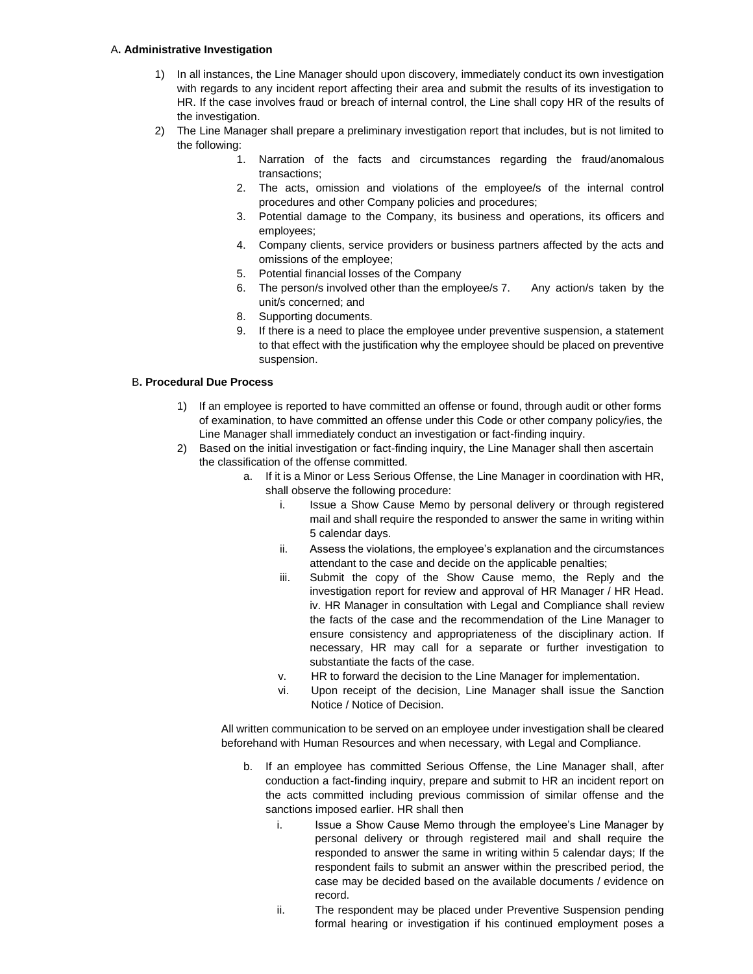#### A**. Administrative Investigation**

- 1) In all instances, the Line Manager should upon discovery, immediately conduct its own investigation with regards to any incident report affecting their area and submit the results of its investigation to HR. If the case involves fraud or breach of internal control, the Line shall copy HR of the results of the investigation.
- 2) The Line Manager shall prepare a preliminary investigation report that includes, but is not limited to the following:
	- 1. Narration of the facts and circumstances regarding the fraud/anomalous transactions;
	- 2. The acts, omission and violations of the employee/s of the internal control procedures and other Company policies and procedures;
	- 3. Potential damage to the Company, its business and operations, its officers and employees;
	- 4. Company clients, service providers or business partners affected by the acts and omissions of the employee;
	- 5. Potential financial losses of the Company
	- 6. The person/s involved other than the employee/s 7. Any action/s taken by the unit/s concerned; and
	- 8. Supporting documents.
	- 9. If there is a need to place the employee under preventive suspension, a statement to that effect with the justification why the employee should be placed on preventive suspension.

## B**. Procedural Due Process**

- 1) If an employee is reported to have committed an offense or found, through audit or other forms of examination, to have committed an offense under this Code or other company policy/ies, the Line Manager shall immediately conduct an investigation or fact-finding inquiry.
- 2) Based on the initial investigation or fact-finding inquiry, the Line Manager shall then ascertain the classification of the offense committed.
	- a. If it is a Minor or Less Serious Offense, the Line Manager in coordination with HR, shall observe the following procedure:
		- i. Issue a Show Cause Memo by personal delivery or through registered mail and shall require the responded to answer the same in writing within 5 calendar days.
		- ii. Assess the violations, the employee's explanation and the circumstances attendant to the case and decide on the applicable penalties;
		- iii. Submit the copy of the Show Cause memo, the Reply and the investigation report for review and approval of HR Manager / HR Head. iv. HR Manager in consultation with Legal and Compliance shall review the facts of the case and the recommendation of the Line Manager to ensure consistency and appropriateness of the disciplinary action. If necessary, HR may call for a separate or further investigation to substantiate the facts of the case.
		- v. HR to forward the decision to the Line Manager for implementation.
		- vi. Upon receipt of the decision, Line Manager shall issue the Sanction Notice / Notice of Decision.

All written communication to be served on an employee under investigation shall be cleared beforehand with Human Resources and when necessary, with Legal and Compliance.

- b. If an employee has committed Serious Offense, the Line Manager shall, after conduction a fact-finding inquiry, prepare and submit to HR an incident report on the acts committed including previous commission of similar offense and the sanctions imposed earlier. HR shall then
	- i. Issue a Show Cause Memo through the employee's Line Manager by personal delivery or through registered mail and shall require the responded to answer the same in writing within 5 calendar days; If the respondent fails to submit an answer within the prescribed period, the case may be decided based on the available documents / evidence on record.
	- ii. The respondent may be placed under Preventive Suspension pending formal hearing or investigation if his continued employment poses a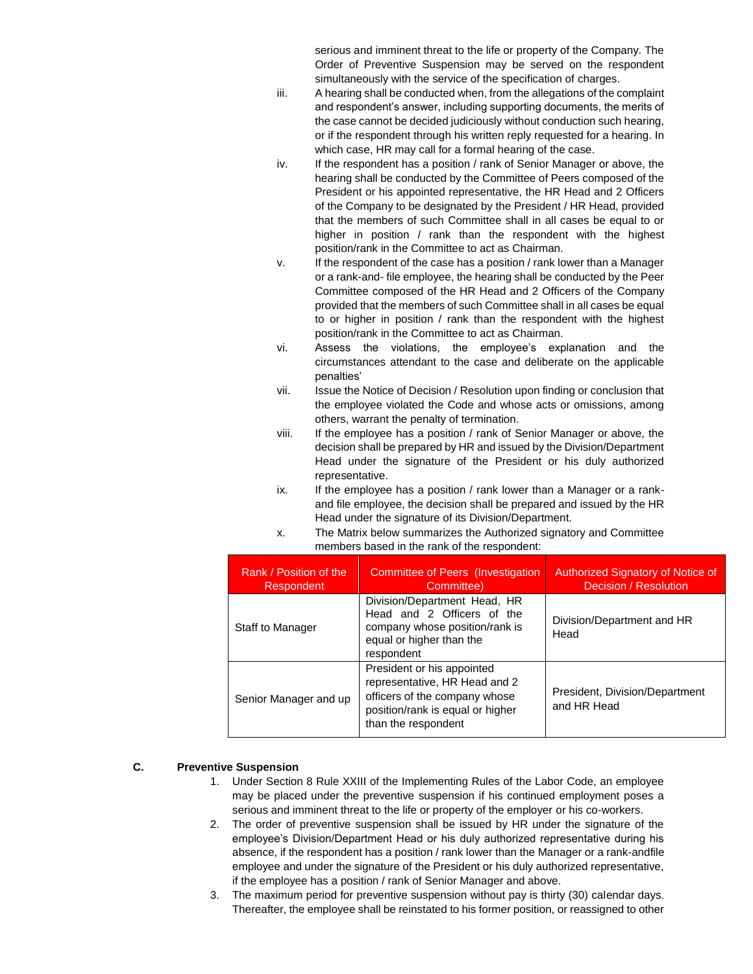serious and imminent threat to the life or property of the Company. The Order of Preventive Suspension may be served on the respondent simultaneously with the service of the specification of charges.

- iii. A hearing shall be conducted when, from the allegations of the complaint and respondent's answer, including supporting documents, the merits of the case cannot be decided judiciously without conduction such hearing, or if the respondent through his written reply requested for a hearing. In which case, HR may call for a formal hearing of the case.
- iv. If the respondent has a position / rank of Senior Manager or above, the hearing shall be conducted by the Committee of Peers composed of the President or his appointed representative, the HR Head and 2 Officers of the Company to be designated by the President / HR Head, provided that the members of such Committee shall in all cases be equal to or higher in position / rank than the respondent with the highest position/rank in the Committee to act as Chairman.
- v. If the respondent of the case has a position / rank lower than a Manager or a rank-and- file employee, the hearing shall be conducted by the Peer Committee composed of the HR Head and 2 Officers of the Company provided that the members of such Committee shall in all cases be equal to or higher in position / rank than the respondent with the highest position/rank in the Committee to act as Chairman.
- vi. Assess the violations, the employee's explanation and the circumstances attendant to the case and deliberate on the applicable penalties'
- vii. Issue the Notice of Decision / Resolution upon finding or conclusion that the employee violated the Code and whose acts or omissions, among others, warrant the penalty of termination.
- viii. If the employee has a position / rank of Senior Manager or above, the decision shall be prepared by HR and issued by the Division/Department Head under the signature of the President or his duly authorized representative.
- ix. If the employee has a position / rank lower than a Manager or a rankand file employee, the decision shall be prepared and issued by the HR Head under the signature of its Division/Department.
- x. The Matrix below summarizes the Authorized signatory and Committee members based in the rank of the respondent:

| Rank / Position of the<br><b>Respondent</b> | Committee of Peers (Investigation<br>Committee)                                                                                                         | Authorized Signatory of Notice of<br>Decision / Resolution |
|---------------------------------------------|---------------------------------------------------------------------------------------------------------------------------------------------------------|------------------------------------------------------------|
| Staff to Manager                            | Division/Department Head, HR<br>Head and 2 Officers of the<br>company whose position/rank is<br>equal or higher than the<br>respondent                  | Division/Department and HR<br>Head                         |
| Senior Manager and up                       | President or his appointed<br>representative, HR Head and 2<br>officers of the company whose<br>position/rank is equal or higher<br>than the respondent | President, Division/Department<br>and HR Head              |

## **C. Preventive Suspension**

- 1. Under Section 8 Rule XXIII of the Implementing Rules of the Labor Code, an employee may be placed under the preventive suspension if his continued employment poses a serious and imminent threat to the life or property of the employer or his co-workers.
- 2. The order of preventive suspension shall be issued by HR under the signature of the employee's Division/Department Head or his duly authorized representative during his absence, if the respondent has a position / rank lower than the Manager or a rank-andfile employee and under the signature of the President or his duly authorized representative, if the employee has a position / rank of Senior Manager and above.
- 3. The maximum period for preventive suspension without pay is thirty (30) calendar days. Thereafter, the employee shall be reinstated to his former position, or reassigned to other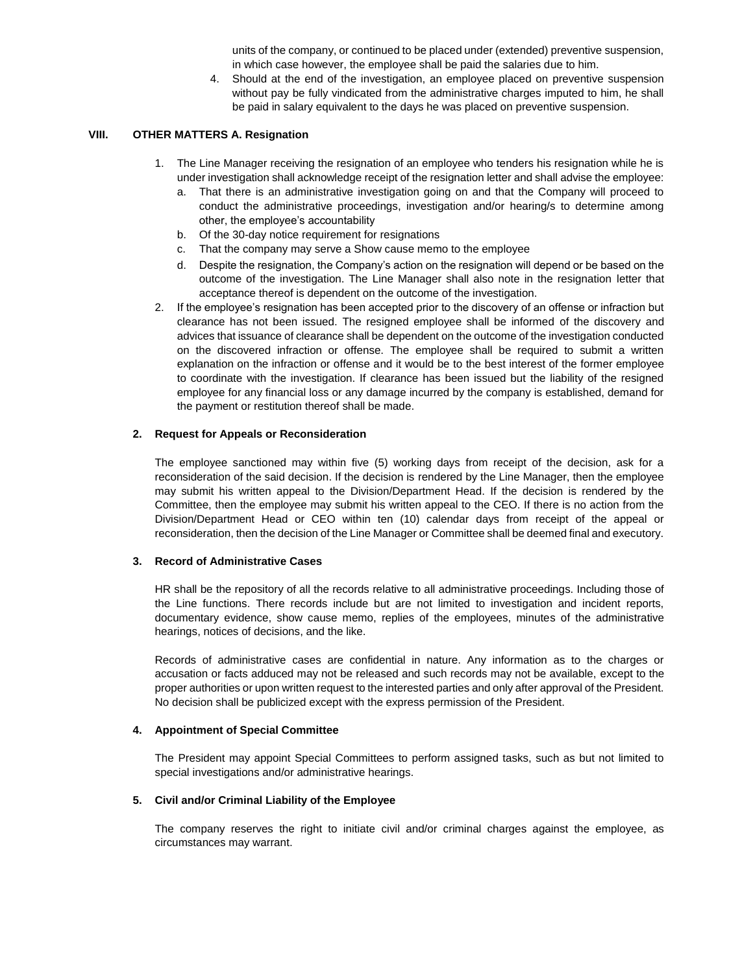units of the company, or continued to be placed under (extended) preventive suspension, in which case however, the employee shall be paid the salaries due to him.

4. Should at the end of the investigation, an employee placed on preventive suspension without pay be fully vindicated from the administrative charges imputed to him, he shall be paid in salary equivalent to the days he was placed on preventive suspension.

### **VIII. OTHER MATTERS A. Resignation**

- 1. The Line Manager receiving the resignation of an employee who tenders his resignation while he is under investigation shall acknowledge receipt of the resignation letter and shall advise the employee:
	- a. That there is an administrative investigation going on and that the Company will proceed to conduct the administrative proceedings, investigation and/or hearing/s to determine among other, the employee's accountability
	- b. Of the 30-day notice requirement for resignations
	- c. That the company may serve a Show cause memo to the employee
	- d. Despite the resignation, the Company's action on the resignation will depend or be based on the outcome of the investigation. The Line Manager shall also note in the resignation letter that acceptance thereof is dependent on the outcome of the investigation.
- 2. If the employee's resignation has been accepted prior to the discovery of an offense or infraction but clearance has not been issued. The resigned employee shall be informed of the discovery and advices that issuance of clearance shall be dependent on the outcome of the investigation conducted on the discovered infraction or offense. The employee shall be required to submit a written explanation on the infraction or offense and it would be to the best interest of the former employee to coordinate with the investigation. If clearance has been issued but the liability of the resigned employee for any financial loss or any damage incurred by the company is established, demand for the payment or restitution thereof shall be made.

#### **2. Request for Appeals or Reconsideration**

The employee sanctioned may within five (5) working days from receipt of the decision, ask for a reconsideration of the said decision. If the decision is rendered by the Line Manager, then the employee may submit his written appeal to the Division/Department Head. If the decision is rendered by the Committee, then the employee may submit his written appeal to the CEO. If there is no action from the Division/Department Head or CEO within ten (10) calendar days from receipt of the appeal or reconsideration, then the decision of the Line Manager or Committee shall be deemed final and executory.

### **3. Record of Administrative Cases**

HR shall be the repository of all the records relative to all administrative proceedings. Including those of the Line functions. There records include but are not limited to investigation and incident reports, documentary evidence, show cause memo, replies of the employees, minutes of the administrative hearings, notices of decisions, and the like.

Records of administrative cases are confidential in nature. Any information as to the charges or accusation or facts adduced may not be released and such records may not be available, except to the proper authorities or upon written request to the interested parties and only after approval of the President. No decision shall be publicized except with the express permission of the President.

#### **4. Appointment of Special Committee**

The President may appoint Special Committees to perform assigned tasks, such as but not limited to special investigations and/or administrative hearings.

#### **5. Civil and/or Criminal Liability of the Employee**

The company reserves the right to initiate civil and/or criminal charges against the employee, as circumstances may warrant.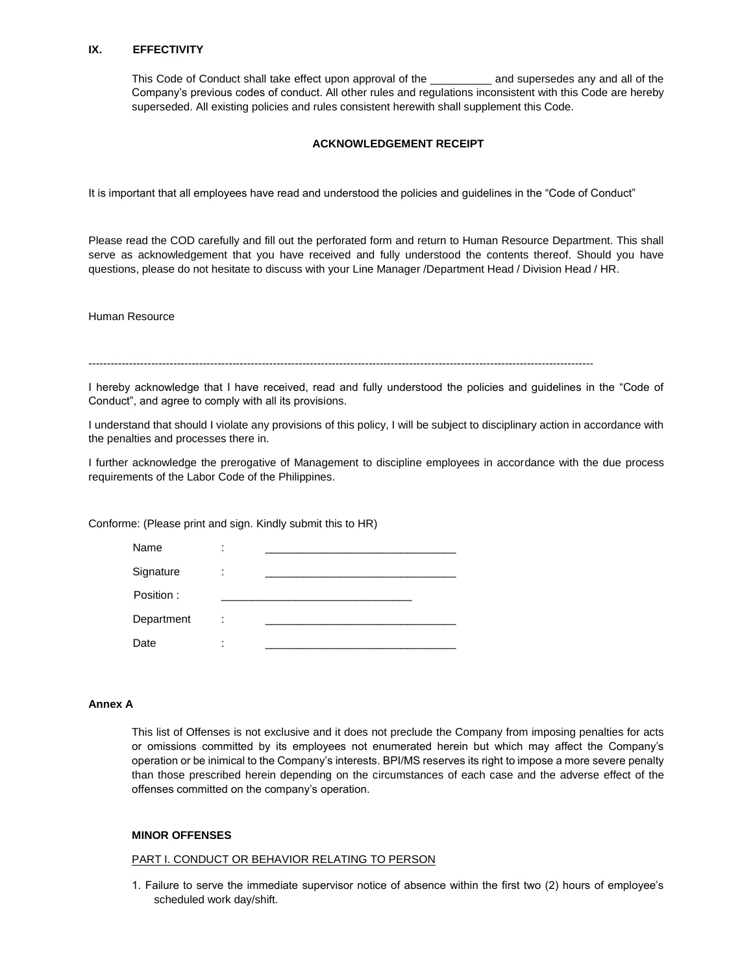### **IX. EFFECTIVITY**

This Code of Conduct shall take effect upon approval of the \_\_\_\_\_\_\_\_\_\_\_\_ and supersedes any and all of the Company's previous codes of conduct. All other rules and regulations inconsistent with this Code are hereby superseded. All existing policies and rules consistent herewith shall supplement this Code.

### **ACKNOWLEDGEMENT RECEIPT**

It is important that all employees have read and understood the policies and guidelines in the "Code of Conduct"

Please read the COD carefully and fill out the perforated form and return to Human Resource Department. This shall serve as acknowledgement that you have received and fully understood the contents thereof. Should you have questions, please do not hesitate to discuss with your Line Manager /Department Head / Division Head / HR.

Human Resource

-----------------------------------------------------------------------------------------------------------------------------------------

I hereby acknowledge that I have received, read and fully understood the policies and guidelines in the "Code of Conduct", and agree to comply with all its provisions.

I understand that should I violate any provisions of this policy, I will be subject to disciplinary action in accordance with the penalties and processes there in.

I further acknowledge the prerogative of Management to discipline employees in accordance with the due process requirements of the Labor Code of the Philippines.

Conforme: (Please print and sign. Kindly submit this to HR)

| Name       | ٠<br>٠ |  |
|------------|--------|--|
| Signature  | ٠<br>٠ |  |
| Position:  |        |  |
| Department | ٠<br>٠ |  |
| Date       | ٠<br>٠ |  |

#### **Annex A**

This list of Offenses is not exclusive and it does not preclude the Company from imposing penalties for acts or omissions committed by its employees not enumerated herein but which may affect the Company's operation or be inimical to the Company's interests. BPI/MS reserves its right to impose a more severe penalty than those prescribed herein depending on the circumstances of each case and the adverse effect of the offenses committed on the company's operation.

#### **MINOR OFFENSES**

#### PART I. CONDUCT OR BEHAVIOR RELATING TO PERSON

1. Failure to serve the immediate supervisor notice of absence within the first two (2) hours of employee's scheduled work day/shift.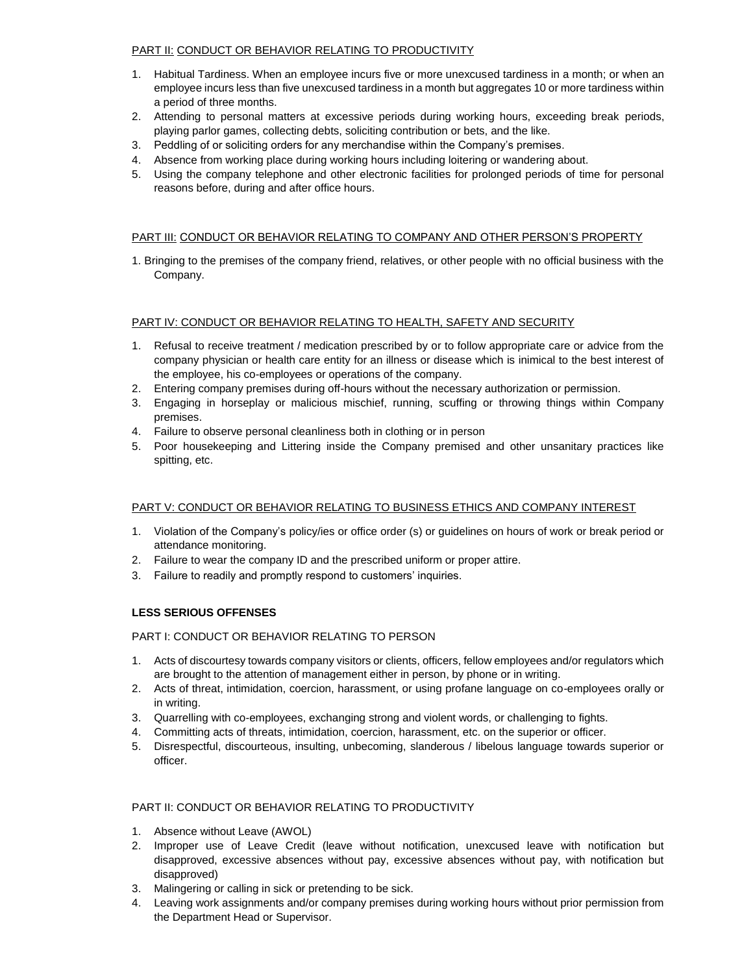## PART II: CONDUCT OR BEHAVIOR RELATING TO PRODUCTIVITY

- 1. Habitual Tardiness. When an employee incurs five or more unexcused tardiness in a month; or when an employee incurs less than five unexcused tardiness in a month but aggregates 10 or more tardiness within a period of three months.
- 2. Attending to personal matters at excessive periods during working hours, exceeding break periods, playing parlor games, collecting debts, soliciting contribution or bets, and the like.
- 3. Peddling of or soliciting orders for any merchandise within the Company's premises.
- 4. Absence from working place during working hours including loitering or wandering about.
- 5. Using the company telephone and other electronic facilities for prolonged periods of time for personal reasons before, during and after office hours.

# PART III: CONDUCT OR BEHAVIOR RELATING TO COMPANY AND OTHER PERSON'S PROPERTY

1. Bringing to the premises of the company friend, relatives, or other people with no official business with the Company.

## PART IV: CONDUCT OR BEHAVIOR RELATING TO HEALTH, SAFETY AND SECURITY

- 1. Refusal to receive treatment / medication prescribed by or to follow appropriate care or advice from the company physician or health care entity for an illness or disease which is inimical to the best interest of the employee, his co-employees or operations of the company.
- 2. Entering company premises during off-hours without the necessary authorization or permission.
- 3. Engaging in horseplay or malicious mischief, running, scuffing or throwing things within Company premises.
- 4. Failure to observe personal cleanliness both in clothing or in person
- 5. Poor housekeeping and Littering inside the Company premised and other unsanitary practices like spitting, etc.

## PART V: CONDUCT OR BEHAVIOR RELATING TO BUSINESS ETHICS AND COMPANY INTEREST

- 1. Violation of the Company's policy/ies or office order (s) or guidelines on hours of work or break period or attendance monitoring.
- 2. Failure to wear the company ID and the prescribed uniform or proper attire.
- 3. Failure to readily and promptly respond to customers' inquiries.

## **LESS SERIOUS OFFENSES**

# PART I: CONDUCT OR BEHAVIOR RELATING TO PERSON

- 1. Acts of discourtesy towards company visitors or clients, officers, fellow employees and/or regulators which are brought to the attention of management either in person, by phone or in writing.
- 2. Acts of threat, intimidation, coercion, harassment, or using profane language on co-employees orally or in writing.
- 3. Quarrelling with co-employees, exchanging strong and violent words, or challenging to fights.
- 4. Committing acts of threats, intimidation, coercion, harassment, etc. on the superior or officer.
- 5. Disrespectful, discourteous, insulting, unbecoming, slanderous / libelous language towards superior or officer.

## PART II: CONDUCT OR BEHAVIOR RELATING TO PRODUCTIVITY

- 1. Absence without Leave (AWOL)
- 2. Improper use of Leave Credit (leave without notification, unexcused leave with notification but disapproved, excessive absences without pay, excessive absences without pay, with notification but disapproved)
- 3. Malingering or calling in sick or pretending to be sick.
- 4. Leaving work assignments and/or company premises during working hours without prior permission from the Department Head or Supervisor.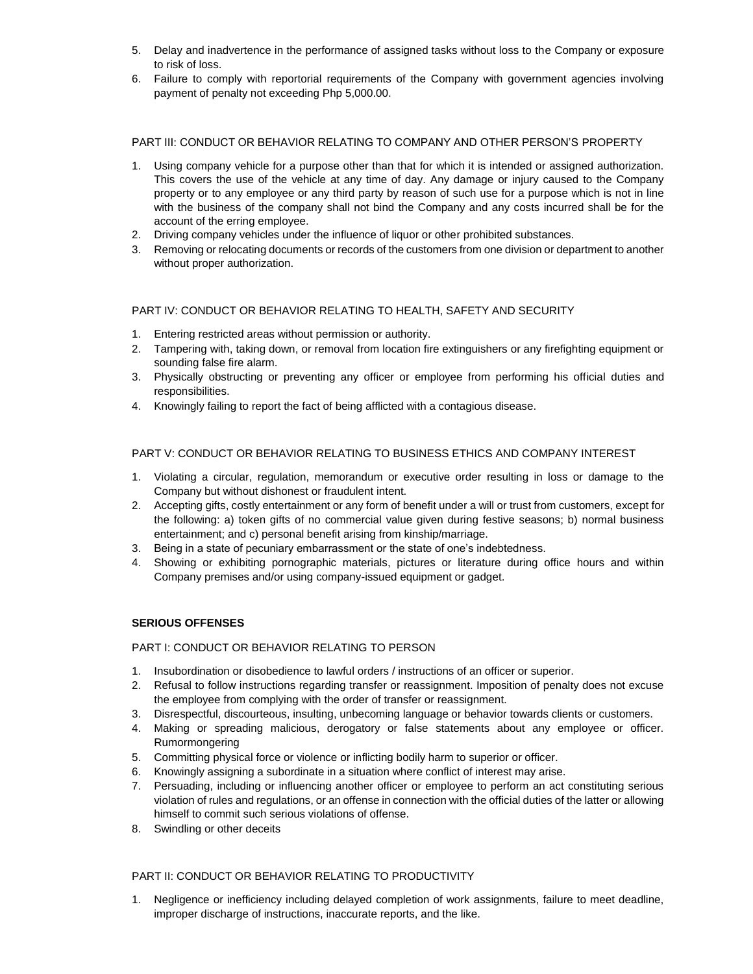- 5. Delay and inadvertence in the performance of assigned tasks without loss to the Company or exposure to risk of loss.
- 6. Failure to comply with reportorial requirements of the Company with government agencies involving payment of penalty not exceeding Php 5,000.00.

# PART III: CONDUCT OR BEHAVIOR RELATING TO COMPANY AND OTHER PERSON'S PROPERTY

- 1. Using company vehicle for a purpose other than that for which it is intended or assigned authorization. This covers the use of the vehicle at any time of day. Any damage or injury caused to the Company property or to any employee or any third party by reason of such use for a purpose which is not in line with the business of the company shall not bind the Company and any costs incurred shall be for the account of the erring employee.
- 2. Driving company vehicles under the influence of liquor or other prohibited substances.
- 3. Removing or relocating documents or records of the customers from one division or department to another without proper authorization.

## PART IV: CONDUCT OR BEHAVIOR RELATING TO HEALTH, SAFETY AND SECURITY

- 1. Entering restricted areas without permission or authority.
- 2. Tampering with, taking down, or removal from location fire extinguishers or any firefighting equipment or sounding false fire alarm.
- 3. Physically obstructing or preventing any officer or employee from performing his official duties and responsibilities.
- 4. Knowingly failing to report the fact of being afflicted with a contagious disease.

# PART V: CONDUCT OR BEHAVIOR RELATING TO BUSINESS ETHICS AND COMPANY INTEREST

- 1. Violating a circular, regulation, memorandum or executive order resulting in loss or damage to the Company but without dishonest or fraudulent intent.
- 2. Accepting gifts, costly entertainment or any form of benefit under a will or trust from customers, except for the following: a) token gifts of no commercial value given during festive seasons; b) normal business entertainment; and c) personal benefit arising from kinship/marriage.
- 3. Being in a state of pecuniary embarrassment or the state of one's indebtedness.
- 4. Showing or exhibiting pornographic materials, pictures or literature during office hours and within Company premises and/or using company-issued equipment or gadget.

## **SERIOUS OFFENSES**

### PART I: CONDUCT OR BEHAVIOR RELATING TO PERSON

- 1. Insubordination or disobedience to lawful orders / instructions of an officer or superior.
- 2. Refusal to follow instructions regarding transfer or reassignment. Imposition of penalty does not excuse the employee from complying with the order of transfer or reassignment.
- 3. Disrespectful, discourteous, insulting, unbecoming language or behavior towards clients or customers.
- 4. Making or spreading malicious, derogatory or false statements about any employee or officer. Rumormongering
- 5. Committing physical force or violence or inflicting bodily harm to superior or officer.
- 6. Knowingly assigning a subordinate in a situation where conflict of interest may arise.
- 7. Persuading, including or influencing another officer or employee to perform an act constituting serious violation of rules and regulations, or an offense in connection with the official duties of the latter or allowing himself to commit such serious violations of offense.
- 8. Swindling or other deceits

## PART II: CONDUCT OR BEHAVIOR RELATING TO PRODUCTIVITY

1. Negligence or inefficiency including delayed completion of work assignments, failure to meet deadline, improper discharge of instructions, inaccurate reports, and the like.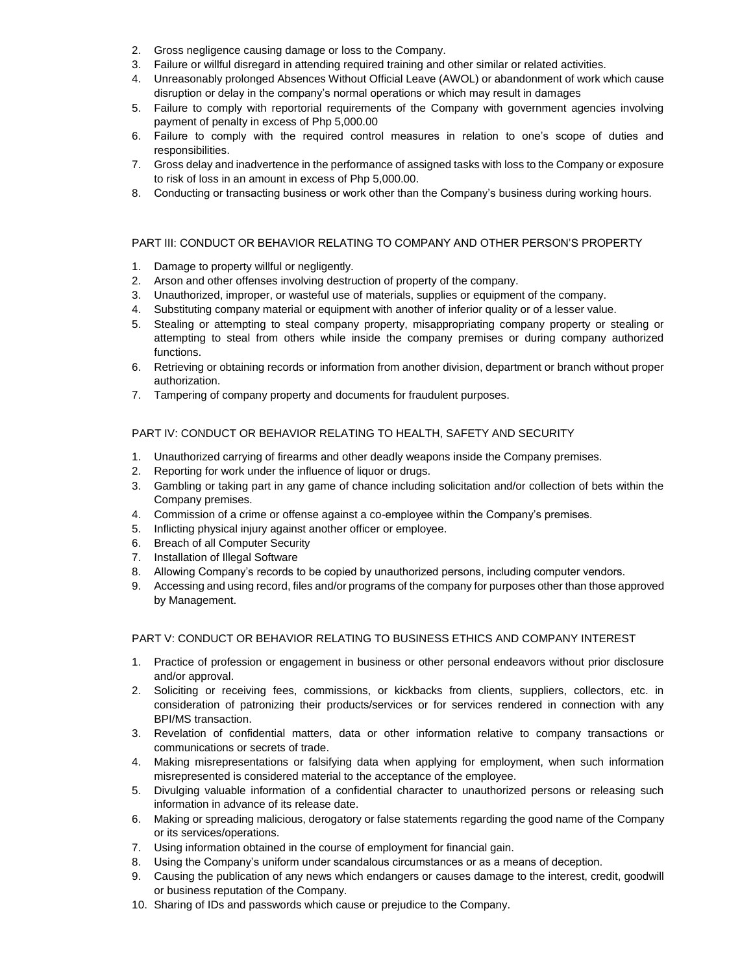- 2. Gross negligence causing damage or loss to the Company.
- 3. Failure or willful disregard in attending required training and other similar or related activities.
- 4. Unreasonably prolonged Absences Without Official Leave (AWOL) or abandonment of work which cause disruption or delay in the company's normal operations or which may result in damages
- 5. Failure to comply with reportorial requirements of the Company with government agencies involving payment of penalty in excess of Php 5,000.00
- 6. Failure to comply with the required control measures in relation to one's scope of duties and responsibilities.
- 7. Gross delay and inadvertence in the performance of assigned tasks with loss to the Company or exposure to risk of loss in an amount in excess of Php 5,000.00.
- 8. Conducting or transacting business or work other than the Company's business during working hours.

## PART III: CONDUCT OR BEHAVIOR RELATING TO COMPANY AND OTHER PERSON'S PROPERTY

- 1. Damage to property willful or negligently.
- 2. Arson and other offenses involving destruction of property of the company.
- 3. Unauthorized, improper, or wasteful use of materials, supplies or equipment of the company.
- 4. Substituting company material or equipment with another of inferior quality or of a lesser value.
- 5. Stealing or attempting to steal company property, misappropriating company property or stealing or attempting to steal from others while inside the company premises or during company authorized functions.
- 6. Retrieving or obtaining records or information from another division, department or branch without proper authorization.
- 7. Tampering of company property and documents for fraudulent purposes.

# PART IV: CONDUCT OR BEHAVIOR RELATING TO HEALTH, SAFETY AND SECURITY

- 1. Unauthorized carrying of firearms and other deadly weapons inside the Company premises.
- 2. Reporting for work under the influence of liquor or drugs.
- 3. Gambling or taking part in any game of chance including solicitation and/or collection of bets within the Company premises.
- 4. Commission of a crime or offense against a co-employee within the Company's premises.
- 5. Inflicting physical injury against another officer or employee.
- 6. Breach of all Computer Security
- 7. Installation of Illegal Software
- 8. Allowing Company's records to be copied by unauthorized persons, including computer vendors.
- 9. Accessing and using record, files and/or programs of the company for purposes other than those approved by Management.

### PART V: CONDUCT OR BEHAVIOR RELATING TO BUSINESS ETHICS AND COMPANY INTEREST

- 1. Practice of profession or engagement in business or other personal endeavors without prior disclosure and/or approval.
- 2. Soliciting or receiving fees, commissions, or kickbacks from clients, suppliers, collectors, etc. in consideration of patronizing their products/services or for services rendered in connection with any BPI/MS transaction.
- 3. Revelation of confidential matters, data or other information relative to company transactions or communications or secrets of trade.
- 4. Making misrepresentations or falsifying data when applying for employment, when such information misrepresented is considered material to the acceptance of the employee.
- 5. Divulging valuable information of a confidential character to unauthorized persons or releasing such information in advance of its release date.
- 6. Making or spreading malicious, derogatory or false statements regarding the good name of the Company or its services/operations.
- 7. Using information obtained in the course of employment for financial gain.
- 8. Using the Company's uniform under scandalous circumstances or as a means of deception.
- 9. Causing the publication of any news which endangers or causes damage to the interest, credit, goodwill or business reputation of the Company.
- 10. Sharing of IDs and passwords which cause or prejudice to the Company.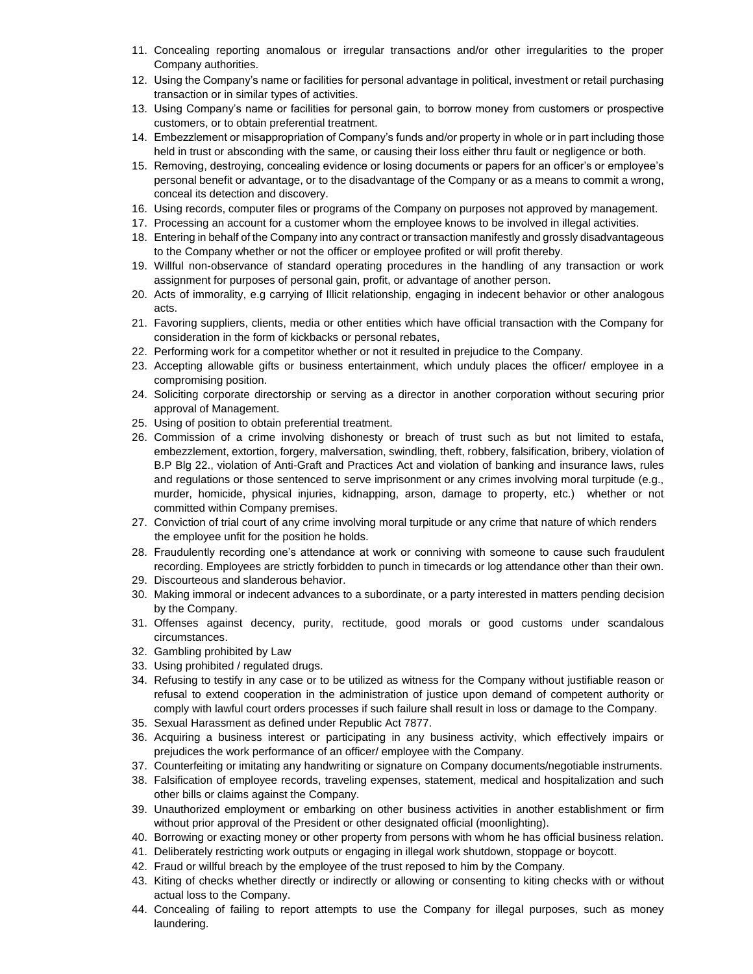- 11. Concealing reporting anomalous or irregular transactions and/or other irregularities to the proper Company authorities.
- 12. Using the Company's name or facilities for personal advantage in political, investment or retail purchasing transaction or in similar types of activities.
- 13. Using Company's name or facilities for personal gain, to borrow money from customers or prospective customers, or to obtain preferential treatment.
- 14. Embezzlement or misappropriation of Company's funds and/or property in whole or in part including those held in trust or absconding with the same, or causing their loss either thru fault or negligence or both.
- 15. Removing, destroying, concealing evidence or losing documents or papers for an officer's or employee's personal benefit or advantage, or to the disadvantage of the Company or as a means to commit a wrong, conceal its detection and discovery.
- 16. Using records, computer files or programs of the Company on purposes not approved by management.
- 17. Processing an account for a customer whom the employee knows to be involved in illegal activities.
- 18. Entering in behalf of the Company into any contract or transaction manifestly and grossly disadvantageous to the Company whether or not the officer or employee profited or will profit thereby.
- 19. Willful non-observance of standard operating procedures in the handling of any transaction or work assignment for purposes of personal gain, profit, or advantage of another person.
- 20. Acts of immorality, e.g carrying of Illicit relationship, engaging in indecent behavior or other analogous acts.
- 21. Favoring suppliers, clients, media or other entities which have official transaction with the Company for consideration in the form of kickbacks or personal rebates,
- 22. Performing work for a competitor whether or not it resulted in prejudice to the Company.
- 23. Accepting allowable gifts or business entertainment, which unduly places the officer/ employee in a compromising position.
- 24. Soliciting corporate directorship or serving as a director in another corporation without securing prior approval of Management.
- 25. Using of position to obtain preferential treatment.
- 26. Commission of a crime involving dishonesty or breach of trust such as but not limited to estafa, embezzlement, extortion, forgery, malversation, swindling, theft, robbery, falsification, bribery, violation of B.P Blg 22., violation of Anti-Graft and Practices Act and violation of banking and insurance laws, rules and regulations or those sentenced to serve imprisonment or any crimes involving moral turpitude (e.g., murder, homicide, physical injuries, kidnapping, arson, damage to property, etc.) whether or not committed within Company premises.
- 27. Conviction of trial court of any crime involving moral turpitude or any crime that nature of which renders the employee unfit for the position he holds.
- 28. Fraudulently recording one's attendance at work or conniving with someone to cause such fraudulent recording. Employees are strictly forbidden to punch in timecards or log attendance other than their own.
- 29. Discourteous and slanderous behavior.
- 30. Making immoral or indecent advances to a subordinate, or a party interested in matters pending decision by the Company.
- 31. Offenses against decency, purity, rectitude, good morals or good customs under scandalous circumstances.
- 32. Gambling prohibited by Law
- 33. Using prohibited / regulated drugs.
- 34. Refusing to testify in any case or to be utilized as witness for the Company without justifiable reason or refusal to extend cooperation in the administration of justice upon demand of competent authority or comply with lawful court orders processes if such failure shall result in loss or damage to the Company.
- 35. Sexual Harassment as defined under Republic Act 7877.
- 36. Acquiring a business interest or participating in any business activity, which effectively impairs or prejudices the work performance of an officer/ employee with the Company.
- 37. Counterfeiting or imitating any handwriting or signature on Company documents/negotiable instruments.
- 38. Falsification of employee records, traveling expenses, statement, medical and hospitalization and such other bills or claims against the Company.
- 39. Unauthorized employment or embarking on other business activities in another establishment or firm without prior approval of the President or other designated official (moonlighting).
- 40. Borrowing or exacting money or other property from persons with whom he has official business relation.
- 41. Deliberately restricting work outputs or engaging in illegal work shutdown, stoppage or boycott.
- 42. Fraud or willful breach by the employee of the trust reposed to him by the Company.
- 43. Kiting of checks whether directly or indirectly or allowing or consenting to kiting checks with or without actual loss to the Company.
- 44. Concealing of failing to report attempts to use the Company for illegal purposes, such as money laundering.